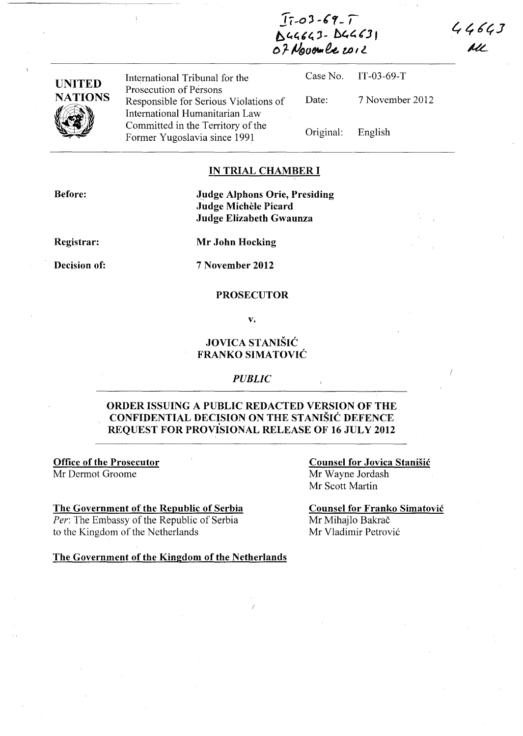*11-0 ')-(1-,*  Buneau - buneau

 $44643$ All

| <b>UNITED</b><br><b>NATIONS</b> | International Tribunal for the                                      |                   | Case No. IT-03-69-T |
|---------------------------------|---------------------------------------------------------------------|-------------------|---------------------|
|                                 | Prosecution of Persons<br>Responsible for Serious Violations of     | Date:             | 7 November 2012     |
| $\mathscr{U}$                   | International Humanitarian Law<br>Committed in the Territory of the |                   |                     |
|                                 | Former Yugoslavia since 1991                                        | Original: English |                     |

#### **IN TRIAL CHAMBER I**

**Before:** 

**Judge Alphons Orie, Presiding Judge MicheIe Picard Judge Elizabeth Gwaunza** 

**Registrar:** 

**Decision of:** 

**Mr John Hocking** 

**7 November 2012** 

#### **PROSECUTOR**

**v.** 

### **JOVICA STANISIC FRANKO SIMATOVIC**

#### *PUBLIC*

# **ORDER ISSUING A PUBLIC REDACTED VERSION OF THE CONFIDENTIAL DECISION ON THE STANISIC DEFENCE** . **REQUEST FOR PROVISIONAL RELEASE OF 16 JULY 2012**

**Office of the Prosecutor**  Mr Dermot Groome

#### **The Government of the Republic of Serbia**

*Per:* The Embassy of the Republic of Serbia to the Kingdom of the Netherlands

**Counsel for Jovica Stanisic**  Mr Wayne Jordash Mr Scott Martin

**Counsel for Franko Simatovic**  Mr Mihajlo Bakrač Mr Vladimir Petrovic

**The Government** of the **Kingdom** of the **Netherlands**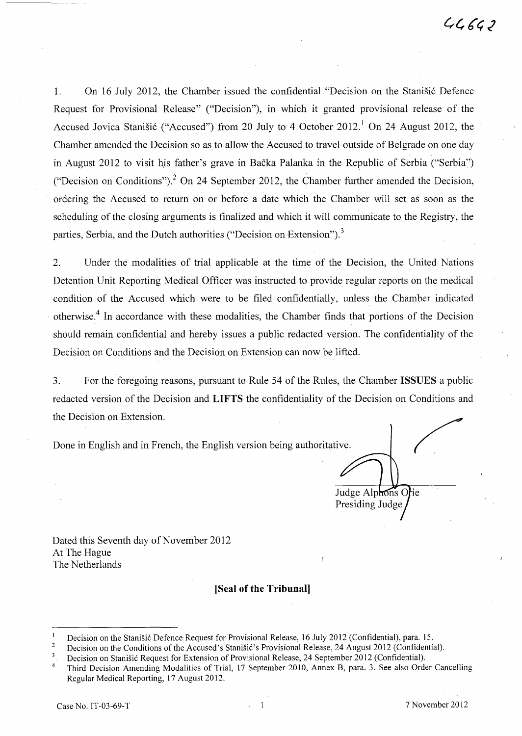1. On 16 July 2012, the Chamber issued the confidential "Decision on the Stanistic Defence Request for Provisional Release" ("Decision"), in which it granted provisional release of the Accused Jovica Stanišić ("Accused") from 20 July to 4 October 2012.<sup>1</sup> On 24 August 2012, the Chamber amended the Decision so as to allow the Accused to travel outside of Belgrade on one day in August 2012 to visit his father's grave in Bačka Palanka in the Republic of Serbia ("Serbia") ("Decision on Conditions")? On 24 September 2012, the Chamber further amended the Decision, ordering the Accused to return on or before a date which the Chamber will set as soon as the scheduling of the closing arguments is finalized and which it will communicate to the Registry, the parties, Serbia, and the Dutch authorities ("Decision on Extension").<sup>3</sup>

2. Under the modalities of trial applicable at the time of the Decision, the United Nations Detention Unit Reporting Medical Officer was instructed to provide regular reports on the medical condition of the Accused which were to be filed confidentially, unless the Chamber indicated otherwise.<sup>4</sup> In accordance with these modalities, the Chamber finds that portions of the Decision should remain confidential and hereby issues a public redacted version. The confidentiality of the Decision on Conditions and the Decision on Extension can now be lifted.

3. For the foregoing reasons, pursuant to Rule 54 of the Rules, the Chamber ISSUES a public redacted version of the Decision and **LIFTS** the confidentiality of the Decision on Conditions and the Decision on Extension.

Done in English and in French, the English version being authoritative.

Judge Alphons Orie Presiding Judge

Dated this Seventh day of November 2012 At The Hague The Netherlands

#### **[Seal of the Tribunal]**

Decision on the Stanišić Defence Request for Provisional Release, 16 July 2012 (Confidential), para. 15.

 $\sqrt{2}$ Decision on the Conditions of the Accused's Stanisić's Provisional Release, 24 August 2012 (Confidential).<br>Decision on Stanisić Request for Extension of Provisional Release, 24 September 2012 (Confidential).

<sup>&</sup>lt;sup>3</sup> Decision on Stanišić Request for Extension of Provisional Release, 24 September 2012 (Confidential).<br><sup>4</sup> Third Decision Amending Modalities of Trial, 17 September 2010, Annex B, para. 3. See also Order Cancelling Regular Medical Reporting, 17 August 2012.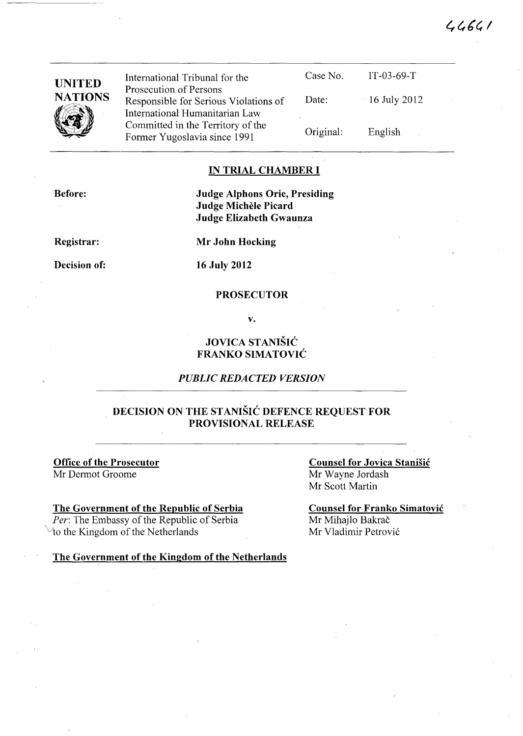| <b>UNITED</b><br><b>NATIONS</b><br><b>Artist</b> | International Tribunal for the                                                                    | Case No.  | $IT-03-69-T$    |  |
|--------------------------------------------------|---------------------------------------------------------------------------------------------------|-----------|-----------------|--|
|                                                  | Prosecution of Persons<br>Responsible for Serious Violations of<br>International Humanitarian Law | Date:     | $-16$ July 2012 |  |
|                                                  | Committed in the Territory of the<br>Former Yugoslavia since 1991                                 | Original: | English         |  |

#### **IN TRIAL CHAMBER I**

**Before:** 

**Judge Alphons Orie, Presiding Judge Michele Picard Judge Elizabeth Gwaunza** 

**Registrar:** 

**Decision of:** 

**Mr John Hocking** 

**16 July 2012** 

#### **PROSECUTOR**

**v.** 

### **JOVICA STANISIC FRANKO SIMATOVIC**

#### *PUBLIC REDACTED VERSION*

### **DECISION ON THE STANISIC DEFENCE REQUEST FOR PROVISIONAL RELEASE**

**Office of the Prosecutor**  Mr Dermot Groome

#### **The Government of the Republic of Serbia**

*Per:* The Embassy of the Republic of Serbia to the Kingdom of the Netherlands

**Counsel for Jovica Stanisic**  Mr Wayne lordash Mr Scott Martin

 $46661$ 

**Counsel for Franko Simatovic**  Mr Mihajlo Bakrač Mr Vladimir Petrovi6

**The Government of the Kingdom of the Netherlands**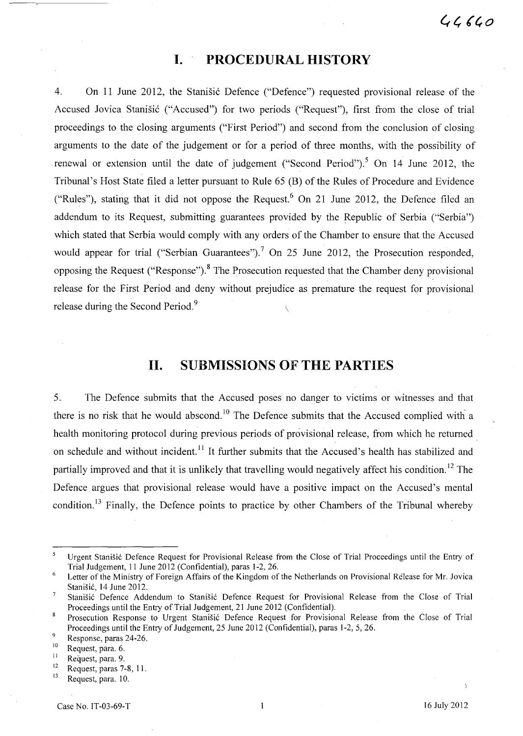# **I. PROCEDURAL HISTORY**

4. On 11 June 2012, the Stanisic Defence ("Defence") requested provisional release of the Accused Jovica Stanišić ("Accused") for two periods ("Request"), first from the close of trial proceedings to the closing arguments ("First Period") and second from the conclusion of closing arguments to the date of the judgement or for a period of three months, with the possibility of renewal or extension until the date of judgement ("Second Period").<sup>5</sup> On 14 June 2012, the Tribunal's Host State filed a letter pursuant to Rule 65 (B) of the Rules of Procedure and Evidence ("Rules"), stating that it did not oppose the Request.<sup>6</sup> On 21 June 2012, the Defence filed an addendum to its Request, submitting guarantees provided by the Republic of Serbia ("Serbia") which stated that Serbia would comply with any orders of the Chamber to ensure that the Accused would appear for trial ("Serbian Guarantees").<sup>7</sup> On 25 June 2012, the Prosecution responded, opposing the Request ("Response").<sup>8</sup> The Prosecution requested that the Chamber deny provisional release for the First Period and deny without prejudice as premature the request for provisional release during the Second Period.  $9^{9}$ 

# **11. SUBMISSIONS OF THE PARTIES**

5. The Defence submits that the Accused poses no danger to victims or witnesses and that there is no risk that he would abscond.<sup>10</sup> The Defence submits that the Accused complied with a health monitoring protocol during previous periods of provisional release, from which he returned. on schedule and without incident.<sup>11</sup> It further submits that the Accused's health has stabilized and partially improved and that it is unlikely that travelling would negatively affect his condition.<sup>12</sup> The Defence argues that provisional release would have a positive impact on the Accused's mental condition.<sup>13</sup> Finally, the Defence points to practice by other Chambers of the Tribunal whereby

 $\overline{5}$ Urgent Stanisi6 Defence Request for Provisional Release from the Close of Trial Proceedings until the Entry of Trial Judgement, 11 June 2012 (Confidential), paras 1-2,26.

 $\sqrt{6}$ Letter of the Ministry of Foreign Affairs of the Kingdom of the Netherlands on Provisional Release for Mr. Jovica Stanišić, 14 June 2012.

 $\overline{7}$ Stanišić Defence Addendum to Stanišić Defence Request for Provisional Release from the Close of Trial Proceedings until the Entry of Trial Judgement, 21 June 2012 (Confidential).

 $\,$  8 Prosecution Response to Urgent Stanišić Defence Request for Provisional Release from the Close of Trial Proceedings until the Entry of Judgement, 25 June 2012 (Confidential), paras 1-2, 5,26.

 $\overline{9}$ Response, paras 24-26.

 $^{10}$  Request, para. 6.

 $\frac{11}{12}$  Request, para. 9.

 $^{12}$  Request, paras 7-8, 11.

Request, para. 10.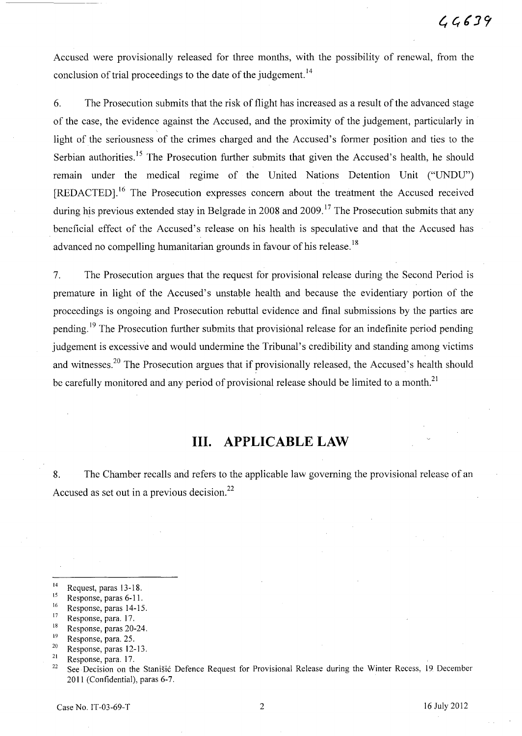Accused were provisionally released for three months, with the possibility of renewal, from the conclusion of trial proceedings to the date of the judgement.<sup>14</sup>

6. The Prosecution submits that the risk of flight has increased as a result of the advanced stage of the case, the evidence against the Accused, and the proximity of the judgement, particularly in light of the seriousness of the crimes charged and the Accused's former position and ties to the Serbian authorities.<sup>15</sup> The Prosecution further submits that given the Accused's health, he should remain under the medical regime of the United Nations Detention Unit ("UNDU") [REDACTED].16 The Prosecution expresses concern about the treatment the Accused received during his previous extended stay in Belgrade in 2008 and 2009.<sup>17</sup> The Prosecution submits that any beneficial effect of the Accused's release on his health is speculative and that the Accused has advanced no compelling humanitarian grounds in favour of his release.<sup>18</sup>

7. The Prosecution argues that the request for provisional release during the Second Period is premature in light of the Accused's unstable health and because the evidentiary portion of the proceedings is ongoing and Prosecution rebuttal evidence and final submissions by the parties are pending.<sup>19</sup> The Prosecution further submits that provisional release for an indefinite period pending judgement is excessive and would undermine the Tribunal's credibility and standing among victims and witnesses.<sup>20</sup> The Prosecution argues that if provisionally released, the Accused's health should be carefully monitored and any period of provisional release should be limited to a month.<sup>21</sup>

### **Ill. APPLICABLE LAW**

8. The Chamber recalls and refers to the applicable law governing the provisional release of an Accused as set out in a previous decision.<sup>22</sup>

 $18$  Response, paras 20-24.

 $^{14}$  Request, paras 13-18.

 $^{15}$  Response, paras 6-11.

 $^{16}$  Response, paras 14-15.

 $17$  Response, para. 17.

 $19$  Response, para. 25.

 $\frac{20}{21}$  Response, paras 12-13.

 $\frac{21}{22}$  Response, para. 17.

See Decision on the Stanišić Defence Request for Provisional Release during the Winter Recess, 19 December 2011 (Confidential), paras 6-7.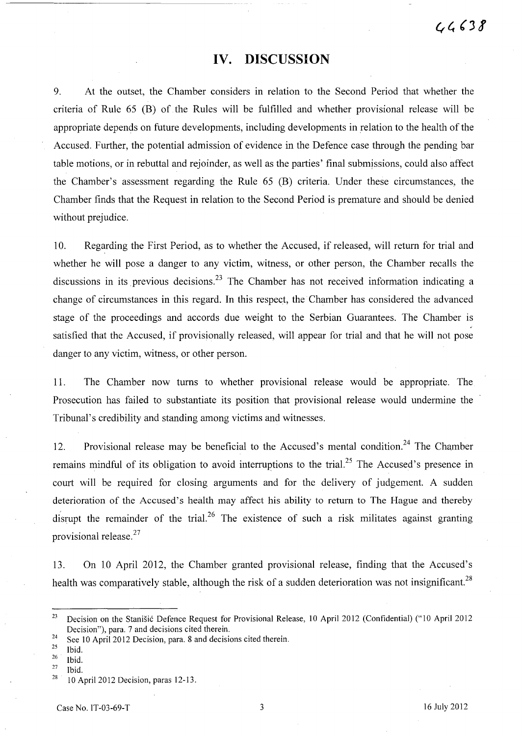# **IV. DISCUSSION**

9. At the outset, the Chamber considers in relation to the Second Period that whether the criteria of Rule 65 CB) of the Rules will be fulfilled and whether provisional release will be appropriate depends on future developments, including developments in relation to the health of the Accused. Further, the potential admission of evidence in the Defence case through the pending bar table motions, or in rebuttal and rejoinder, as well as the parties' final submissions, could also affect the Chamber's assessment regarding the Rule 65 CB) criteria. Under these circumstances, the Chamber finds that the Request in relation to the Second Period is premature and should be denied without prejudice.

10. Regarding the First Period, as to whether the Accused, if released, will return for trial and whether he will pose a danger to any victim, witness, or other person, the Chamber recalls the discussions in its previous decisions.<sup>23</sup> The Chamber has not received information indicating a change of circumstances in this regard. **In** this respect, the Chamber has considered the advanced stage of the proceedings and accords due weight to the Serbian Guarantees. The Chamber is satisfied that the Accused, if provisionally released, will appear for trial and that he will not pose danger to any victim, witness, or other person.

11. The Chamber now turns to whether provisional release would be appropriate. The Prosecution has failed to substantiate its position that provisional release would undermine the Tribunal's credibility and standing among victims and witnesses.

12. Provisional release may be beneficial to the Accused's mental condition.<sup>24</sup> The Chamber remains mindful of its obligation to avoid interruptions to the trial.<sup>25</sup> The Accused's presence in court will be required for closing arguments and for the delivery of judgement. A sudden deterioration of the Accused's health may affect his ability to return to The Hague and thereby disrupt the remainder of the trial.<sup>26</sup> The existence of such a risk militates against granting provisional release.<sup>27</sup>

13. On 10 April 2012, the Chamber granted provisional release, finding that the Accused's health was comparatively stable, although the risk of a sudden deterioration was not insignificant.<sup>28</sup>

- <sup>24</sup> See 10 April 2012 Decision, para. 8 and decisions cited therein.<br><sup>25</sup> Ibid
- $rac{25}{26}$  Ibid.
- $rac{26}{27}$  Ibid.

<sup>&</sup>lt;sup>23</sup> Decision on the Stanišić Defence Request for Provisional Release, 10 April 2012 (Confidential) ("10 April 2012 Decision"), para. 7 and decisions cited therein.

 $\frac{27}{28}$  Ibid.

<sup>28 10</sup> April 2012 Decision, paras 12-13.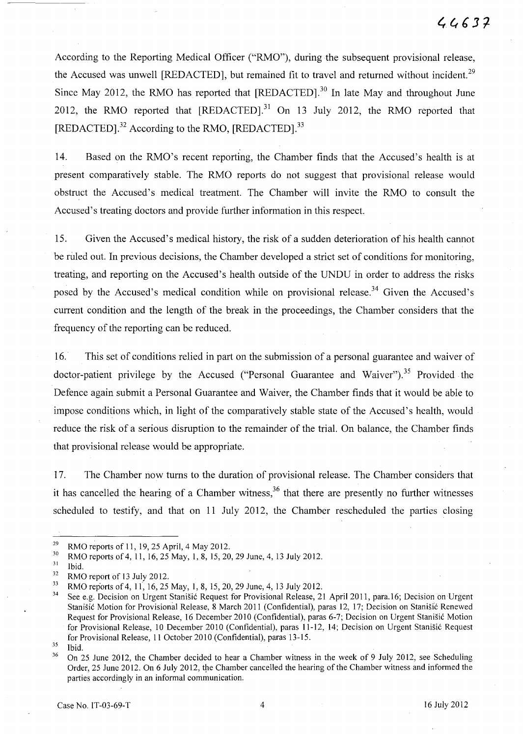According to the Reporting Medical Officer ("RMO"), during the subsequent provisional release, the Accused was unwell [REDACTED], but remained fit to travel and returned without incident.<sup>29</sup> Since May 2012, the RMO has reported that  $[REDACTER]$ <sup>30</sup>. In late May and throughout June 2012, the RMO reported that [REDACTED].<sup>31</sup> On 13 July 2012, the RMO reported that [REDACTED].<sup>32</sup> According to the RMO, [REDACTED].<sup>33</sup>

14. Based on the RMO's recent reporting, the Chamber finds that the Accused's health is at present comparatively stable. The RMO reports do not suggest that provisional release would obstruct the Accused's medical treatment. The Chamber will invite the RMO to consult the Accused's treating doctors and provide further information in this respect.

15. Given the Accused's medical history, the risk of a sudden deterioration of his health cannot be ruled out. In previous decisions, the Chamber developed a strict set of conditions for monitoring, treating, and reporting on the Accused's health outside of the UNDU in order to address the risks posed by the Accused's medical condition while on provisional release.<sup>34</sup> Given the Accused's current condition and the length of the break in the proceedings, the Chamber considers that the frequency of the reporting can be reduced.

16.· This set of conditions relied in part on the submission of a personal guarantee and waiver of doctor-patient privilege by the Accused ("Personal Guarantee and Waiver").<sup>35</sup> Provided the Defence again submit a Personal Guarantee and Waiver, the Chamber finds that it would be able to impose conditions which, in light of the comparatively stable state of the Accused's health, would reduce the risk of a serious disruption to the remainder of the trial. On balance, the Chamber finds that provisional release would be appropriate.

17. The Chamber now turns to the duration of provisional release. The Chamber considers that it has cancelled the hearing of a Chamber witness,  $36$  that there are presently no further witnesses scheduled to testify, and that on 11 July 2012, the Chamber rescheduled the parties closing

<sup>&</sup>lt;sup>29</sup> RMO reports of 11, 19, 25 April, 4 May 2012.

<sup>&</sup>lt;sup>30</sup> RMO reports of 4, 11, 16, 25 May, 1, 8, 15, 20, 29 June, 4, 13 July 2012.

 $rac{31}{32}$  Ibid.

 $\frac{32}{33}$  RMO report of 13 July 2012.

<sup>&</sup>lt;sup>33</sup> RMO reports of 4, 11, 16, 25 May, 1, 8, 15, 20, 29 June, 4, 13 July 2012.

See e.g. Decision on Urgent Stanišić Request for Provisional Release, 21 April 2011, para.16; Decision on Urgent Stanišić Motion for Provisional Release, 8 March 2011 (Confidential), paras 12, 17; Decision on Stanišić Renewed Request for Provisional Release, 16 December 2010 (Confidential), paras 6-7; Decision on Urgent Stanišić Motion for Provisional Release, 10 December 2010 (Confidential), paras 11-12, 14; Decision on Urgent Stanisic Request for Provisional Release, 11 October 2010 (Confidential), paras 13-15.

 $35$  Ibid.

<sup>&</sup>lt;sup>36</sup> On 25 June 2012, the Chamber decided to hear a Chamber witness in the week of 9 July 2012, see Scheduling Order, 25 June 2012. On 6 July 2012, the Chamber cancelled the hearing of the Chamber witness and informed the parties accordingly in an informal communication.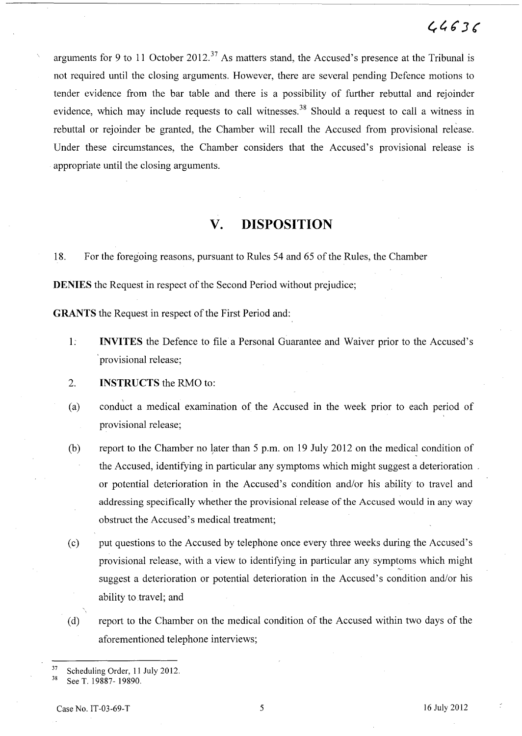arguments for 9 to 11 October 2012.<sup>37</sup> As matters stand, the Accused's presence at the Tribunal is not required until the closing arguments. However, there are several pending Defence motions to tender evidence from the bar table and there is a possibility of further rebuttal and rejoinder evidence, which may include requests to call witnesses.<sup>38</sup> Should a request to call a witness in rebuttal or rejoinder be granted, the Chamber will recall the Accused from provisional release. Under these circumstances, the Chamber considers that the Accused's provisional release is appropriate until the closing arguments.

### **v. DISPOSITION**

18. For the foregoing reasons, pursuant to Rules 54 and 65 of the Rules, the Chamber

**DENIES** the Request in respect of the Second Period without prejudice;

**GRANTS** the Request in respect of the First Period and:

- 1: **INVITES** the Defence to file a Personal Guarantee and Waiver prior to the Accused's provisional release;
- 2. **INSTRUCTS** the RMO to:
- (a) conduct a medical examination of the Accused in the week prior to each period of provisional release;
- (b) report to the Chamber no later than  $5$  p.m. on 19 July 2012 on the medical condition of the Accused, identifying in particular any symptoms which might suggest a deterioration. or potential deterioration in the Accused's condition and/or his ability to travel and addressing specifically whether the provisional release of the Accused would in any way obstruct the Accused's medical treatment;
- Cc) put questions to the Accused by telephone once every three weeks during the Accused's provisional release, with a view to identifying in particular any symptoms which might suggest a deterioration or potential deterioration in the Accused's condition and/or his ability to travel; and
- Cd) report to the Chamber on the medical condition of the Accused within two days of the aforementioned telephone interviews;

<sup>37</sup> Scheduling Order, **11** July 2012.

See T. 19887- 19890.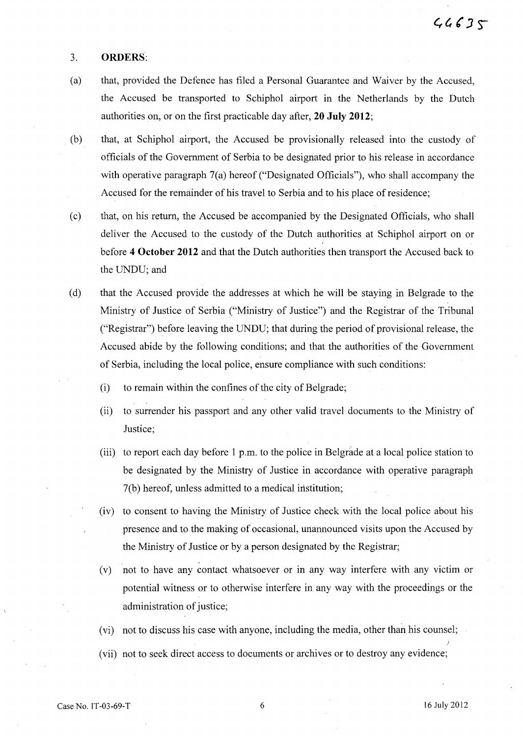#### 3. **ORDERS:**

- (a) that, provided the Defence has filed a Personal Guarantee and Waiver by the Accused, the Accused be transported to Schiphol airport in the Netherlands by the Dutch authorities on, or on the first practicable day after, **20 July 2012;**
- (b) that, at Schiphol airport, the Accused be provisionally released into the custody of officials of the Government of Serbia to be designated prior to his release in accordance with operative paragraph 7(a) hereof ("Designated Officials"), who shall accompany the Accused for the remainder of his travel to Serbia and to his place of residence;
- (c) that, on his return, the Accused be accompanied by the Designated Officials, who shall deliver the Accused to the custody of the Dutch authorities at Schiphol airport on or before **4 October 2012** and that the Dutch authorities then transport the Accused back to the UNDU; and
- (d) that the Accused provide the addresses at which he will be staying in Belgrade to the Ministry of Justice of Serbia ("Ministry of Justice:') and the Registrar of the Tribunal ("Registrar") before leaving the UNDU; that during the period of provisional release, the Accused abide by the following conditions; and that the authorities of the Government of Serbia, including the local police, ensure compliance with such conditions:
	- (i) to remain within the confines of the city of Belgrade;
	- (ii) to surrender his passport and any other valid travel documents to the Ministry of Justice;
	- (iii) to report each day before 1 p.m. to the police in Belgrade at a local police station to be designated by the Ministry of Justice in accordance with operative paragraph 7(b) hereof, unless admitted to a medical institution;
	- (iv) to consent to having the Ministry of Justice check with the local police about his presence and to the making of occasional, unannounced visits upon the Accused by the Ministry of Justice or by a person designated by the Registrar;
	- (v) not to have any contact whatsoever or in any way interfere with any victim or potential witness or to otherwise interfere in any way with the proceedings or the administration of justice;
	- (vi) not to discuss his case with anyone, including the media, other than his counsel;
	- (vii) not to seek direct access to documents or archives or to destroy any evidence;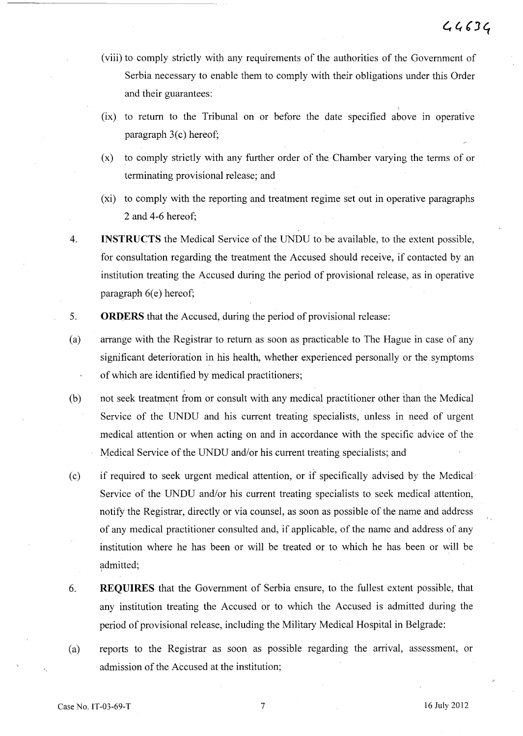- (viii) to comply strictly with any requirements of the authorities of the Government of Serbia necessary to enable them to comply with their obligations under this Order and their guarantees:
- $(ix)$  to return to the Tribunal on or before the date specified above in operative paragraph  $3(c)$  hereof;
- (x) to comply strictly with any further order of the. Chamber varying the terms of or terminating provisional release; and
- (xi) to comply with the reporting and treatment regime set out in operative paragraphs 2 and 4-6 hereof;
- 4. **INSTRUCTS** the Medical Service of the UNDU to be available, to the extent possible, for consultation regarding the treatment the Accused should receive, if contacted by an institution treating the Accused during the period of provisional release, as in operative paragraph  $6(e)$  hereof;
- 5. **ORDERS** that the Accused, during the period of provisional release:
- (a) arrange with the Registrar to return as soon as practicable to The Hague in case of any significant deterioration in his health, whether experienced personally or the symptoms of which are identified by medical practitioners;
- (b) not seek treatment from or consult with any medical practitioner other than the Medical Service of the UNDU and his current treating specialists, unless in need of urgent medical attention or when acting on and in accordance with the specific advice of the Medical Service of the UNDU and/or his current treating specialists; and
- (c) if required to seek urgent medical attention, or if specifically advised by the Medical· Service of the UNDU and/or his current treating specialists to seek medical attention, notify the Registrar, directly or via counsel, as soon as possible of the name and address of any medical practitioner consulted and, if applicable, of the name and address of any institution where he has been or will be treated or to which he has been or will be admitted; I
- 6. **REQUIRES** that the Government of Serbia ensure, to the fullest extent possible, that any institution treating the Accused or to which the Accused is admitted during the period of provisional release, including the Military Medical Hospital in Belgrade:
- Ca) reports to the Registrar as soon as possible regarding the arrival, assessment, or admission of the Accused at the institution;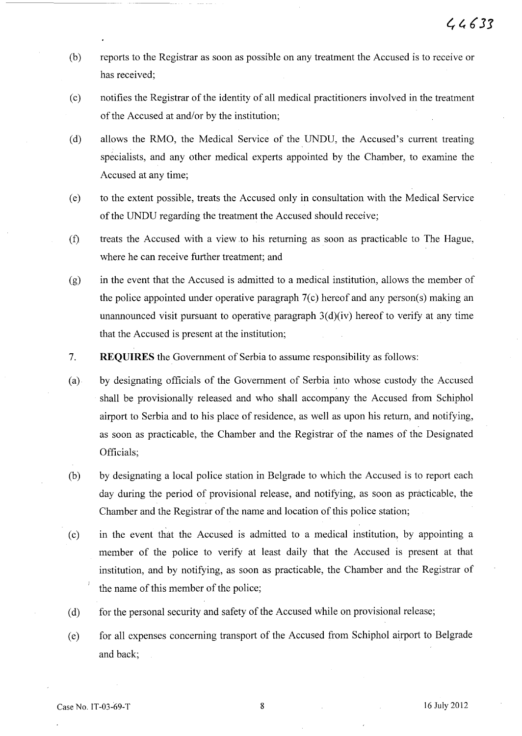- (b) reports to the Registrar as soon as possible on any treatment the Accused is to receive or has received;
- (c) notifies the Registrar of the identity of all medical practitioners involved in the treatment of the Accused at and/or by the institution;
- (d) allows the RMO, the Medical Service of the UNDU, the Accused's current treating specialists, and any other medical experts appointed by the Chamber, to examine the Accused at any time;
- (e) to the extent possible, treats the Accused only in consultation with the Medical Service of the UNDU regarding the treatment the Accused should receive;
- (f) treats the Accused with a view.to his returning as soon as practicable to The Hague, where he can receive further treatment; and
- (g) in the event that the Accused is admitted to a medical institution, allows the member of the police appointed under operative paragraph  $7(c)$  hereof and any person(s) making an unannounced visit pursuant to operative paragraph  $3(d)(iv)$  hereof to verify at any time that the Accused is present at the institution;
- 7. **REQUIRES** the Government of Serbia to assume responsibility as follows:
- (a) by designating officials of the Government of Serbia into whose custody the Accused shall be provisionally released and who shall accompany the Accused from Schiphol airport to Serbia and to his place of residence, as well as upon his return, and notifying, as soon as practicable, the Chamber and the Registrar of the names of the Designated Officials;
- (b) by designating a local police station in Belgrade to which the Accused is to report each day during the period of provisional release, and notifying, as soon as practicable, the Chamber and the Registrar of the name and location of this police station;
- (c) in the event that the Accused is admitted to a medical institution, by appointing a member of the police to verify at least daily that the Accused is present at that institution, and by notifying, as soon as practicable, the Chamber and the Registrar of the name of this member of the police;
- (d) for the personal security and safety of the Accused while on provisional release;
- (e) for all expenses concerning transport of the Accused from Schiphol airport to Belgrade and back;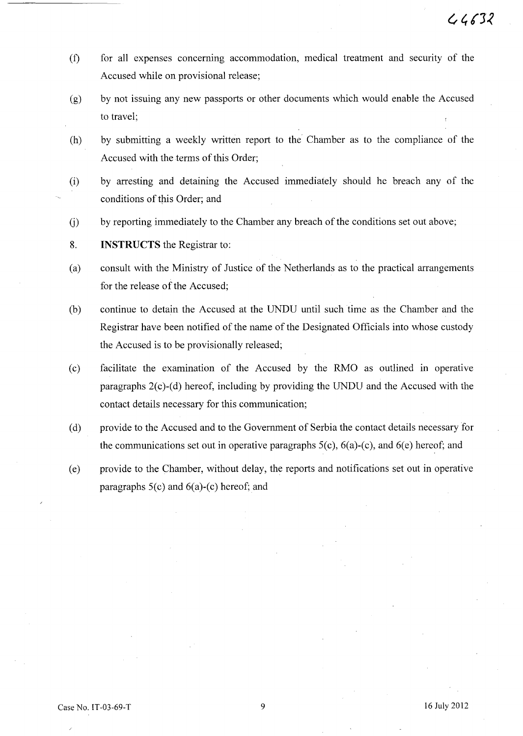- (t) for all expenses concermng accommodation, medical treatment and security of the Accused while on provisional release;
- (g) by not issuing any new passports or other documents which would enable the Accused to travel;
- (h) by submitting a weekly written report to the Chamber as to the compliance of the Accused with the terms of this Order;
- (i) by arresting and detaining the Accused immediately should he breach any of the conditions of this Order; and
- (j) by reporting immediately to the Chamber any breach of the conditions set out above;
- 8. **INSTRUCTS** the Registrar to:
- (a) consult with the Ministry of Justice of the Netherlands as to the practical arrangements for the release of the Accused;
- (b) continue to detain the Accused at the UNDU until such time as the Chamber and the Registrar have been notified of the name of the Designated Officials into whose custody the Accused is to be provisionally released;
- (c) facilitate the examination of the Accused by the RMO as outlined in operative paragraphs  $2(c)$ -(d) hereof, including by providing the UNDU and the Accused with the contact details necessary for this communication;
- (d) provide to the Accused and to the Government of Serbia the contact details necessary for the communications set out in operative paragraphs  $5(c)$ ,  $6(a)-(c)$ , and  $6(e)$  hereof; and
- (e) provide to the Chamber, without delay, the reports and notifications set out in operative paragraphs 5(c) and 6(a)-(c) hereof; and